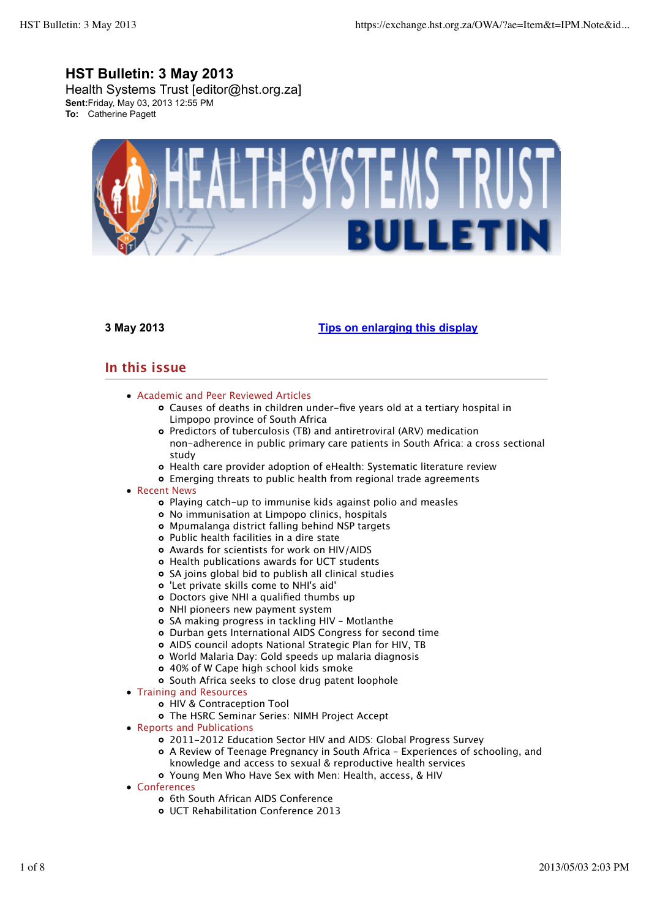

**3 May 2013 Tips on enlarging this display**

# **In this issue**

- Academic and Peer Reviewed Articles
	- Causes of deaths in children under-five years old at a tertiary hospital in Limpopo province of South Africa
	- Predictors of tuberculosis (TB) and antiretroviral (ARV) medication non-adherence in public primary care patients in South Africa: a cross sectional study
	- Health care provider adoption of eHealth: Systematic literature review
	- Emerging threats to public health from regional trade agreements
- Recent News
	- Playing catch-up to immunise kids against polio and measles
	- No immunisation at Limpopo clinics, hospitals
	- Mpumalanga district falling behind NSP targets
	- Public health facilities in a dire state
	- Awards for scientists for work on HIV/AIDS
	- Health publications awards for UCT students
	- SA joins global bid to publish all clinical studies
	- 'Let private skills come to NHI's aid'
	- Doctors give NHI a qualified thumbs up
	- NHI pioneers new payment system
	- SA making progress in tackling HIV Motlanthe
	- Durban gets International AIDS Congress for second time
	- AIDS council adopts National Strategic Plan for HIV, TB
	- World Malaria Day: Gold speeds up malaria diagnosis
	- 40% of W Cape high school kids smoke
	- o South Africa seeks to close drug patent loophole
- Training and Resources
	- HIV & Contraception Tool
	- The HSRC Seminar Series: NIMH Project Accept
- Reports and Publications
	- 2011-2012 Education Sector HIV and AIDS: Global Progress Survey
	- A Review of Teenage Pregnancy in South Africa Experiences of schooling, and knowledge and access to sexual & reproductive health services
	- Young Men Who Have Sex with Men: Health, access, & HIV
- Conferences
	- o 6th South African AIDS Conference
	- UCT Rehabilitation Conference 2013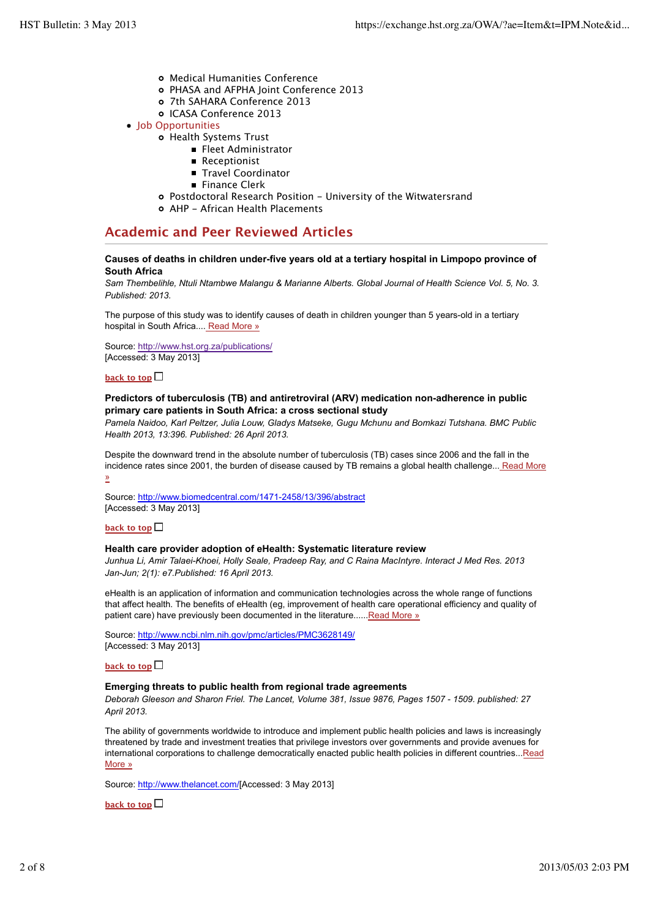- Medical Humanities Conference
- PHASA and AFPHA Joint Conference 2013
- 7th SAHARA Conference 2013
- o ICASA Conference 2013
- Job Opportunities
	- o Health Systems Trust
		- **Fleet Administrator** 
			- Receptionist
			- Travel Coordinator
			- Finance Clerk
		- Postdoctoral Research Position University of the Witwatersrand
		- AHP African Health Placements

# **Academic and Peer Reviewed Articles**

## **Causes of deaths in children under-five years old at a tertiary hospital in Limpopo province of South Africa**

*Sam Thembelihle, Ntuli Ntambwe Malangu & Marianne Alberts. Global Journal of Health Science Vol. 5, No. 3. Published: 2013.*

The purpose of this study was to identify causes of death in children younger than 5 years-old in a tertiary hospital in South Africa.... Read More »

Source: http://www.hst.org.za/publications/ [Accessed: 3 May 2013]

## **back to top**

## **Predictors of tuberculosis (TB) and antiretroviral (ARV) medication non-adherence in public primary care patients in South Africa: a cross sectional study**

*Pamela Naidoo, Karl Peltzer, Julia Louw, Gladys Matseke, Gugu Mchunu and Bomkazi Tutshana. BMC Public Health 2013, 13:396. Published: 26 April 2013.*

Despite the downward trend in the absolute number of tuberculosis (TB) cases since 2006 and the fall in the incidence rates since 2001, the burden of disease caused by TB remains a global health challenge... Read More »

Source: http://www.biomedcentral.com/1471-2458/13/396/abstract

[Accessed: 3 May 2013]

## **back to top**

## **Health care provider adoption of eHealth: Systematic literature review**

*Junhua Li, Amir Talaei-Khoei, Holly Seale, Pradeep Ray, and C Raina MacIntyre. Interact J Med Res. 2013 Jan-Jun; 2(1): e7.Published: 16 April 2013.*

eHealth is an application of information and communication technologies across the whole range of functions that affect health. The benefits of eHealth (eg, improvement of health care operational efficiency and quality of patient care) have previously been documented in the literature...... Read More »

Source: http://www.ncbi.nlm.nih.gov/pmc/articles/PMC3628149/ [Accessed: 3 May 2013]

## **back to top**

## **Emerging threats to public health from regional trade agreements**

*Deborah Gleeson and Sharon Friel. The Lancet, Volume 381, Issue 9876, Pages 1507 - 1509. published: 27 April 2013.*

The ability of governments worldwide to introduce and implement public health policies and laws is increasingly threatened by trade and investment treaties that privilege investors over governments and provide avenues for international corporations to challenge democratically enacted public health policies in different countries...Read More »

Source: http://www.thelancet.com/[Accessed: 3 May 2013]

**back to top**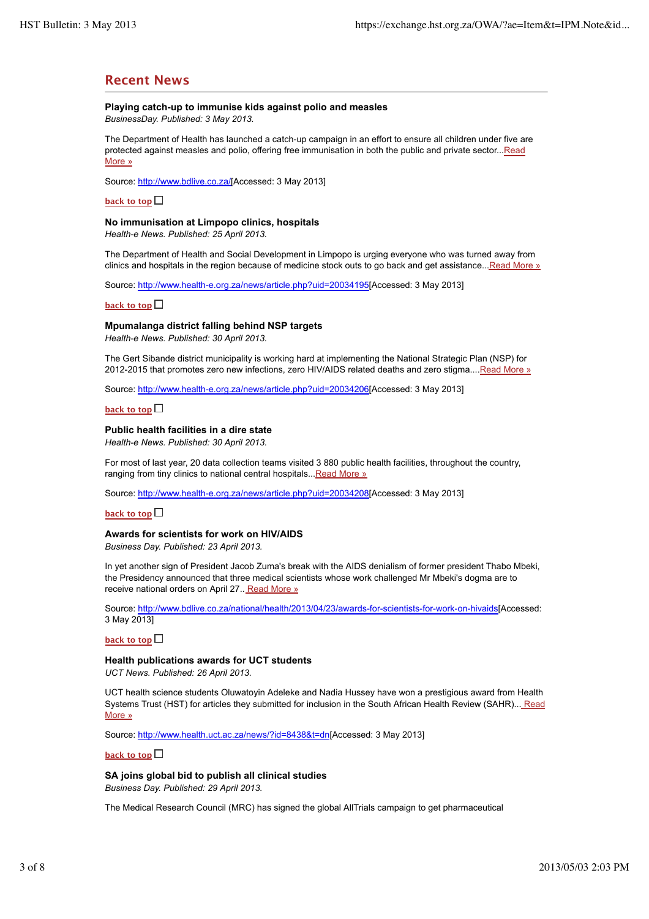# **Recent News**

## **Playing catch-up to immunise kids against polio and measles**

*BusinessDay. Published: 3 May 2013.*

The Department of Health has launched a catch-up campaign in an effort to ensure all children under five are protected against measles and polio, offering free immunisation in both the public and private sector...Read More »

Source: http://www.bdlive.co.za/[Accessed: 3 May 2013]

## **back to top**

## **No immunisation at Limpopo clinics, hospitals**

*Health-e News. Published: 25 April 2013.*

The Department of Health and Social Development in Limpopo is urging everyone who was turned away from clinics and hospitals in the region because of medicine stock outs to go back and get assistance...Read More »

Source: http://www.health-e.org.za/news/article.php?uid=20034195[Accessed: 3 May 2013]

## **back to top**

## **Mpumalanga district falling behind NSP targets**

*Health-e News. Published: 30 April 2013.*

The Gert Sibande district municipality is working hard at implementing the National Strategic Plan (NSP) for 2012-2015 that promotes zero new infections, zero HIV/AIDS related deaths and zero stigma....Read More »

Source: http://www.health-e.org.za/news/article.php?uid=20034206[Accessed: 3 May 2013]

## **back to top**

## **Public health facilities in a dire state**

*Health-e News. Published: 30 April 2013.*

For most of last year, 20 data collection teams visited 3 880 public health facilities, throughout the country, ranging from tiny clinics to national central hospitals... Read More »

Source: http://www.health-e.org.za/news/article.php?uid=20034208[Accessed: 3 May 2013]

## **back to top**

## **Awards for scientists for work on HIV/AIDS**

*Business Day. Published: 23 April 2013.*

In yet another sign of President Jacob Zuma's break with the AIDS denialism of former president Thabo Mbeki, the Presidency announced that three medical scientists whose work challenged Mr Mbeki's dogma are to receive national orders on April 27.. Read More »

Source: http://www.bdlive.co.za/national/health/2013/04/23/awards-for-scientists-for-work-on-hivaids[Accessed: 3 May 2013]

## **back to top**

### **Health publications awards for UCT students**

*UCT News. Published: 26 April 2013.*

UCT health science students Oluwatoyin Adeleke and Nadia Hussey have won a prestigious award from Health Systems Trust (HST) for articles they submitted for inclusion in the South African Health Review (SAHR)... Read More »

Source: http://www.health.uct.ac.za/news/?id=8438&t=dn[Accessed: 3 May 2013]

## **back to top**

## **SA joins global bid to publish all clinical studies**

*Business Day. Published: 29 April 2013.*

The Medical Research Council (MRC) has signed the global AllTrials campaign to get pharmaceutical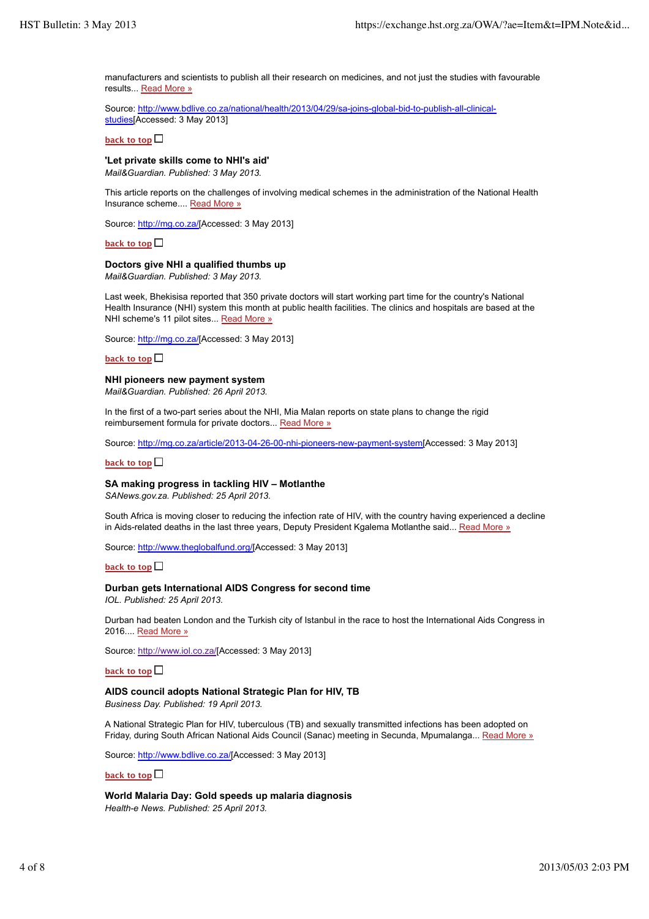manufacturers and scientists to publish all their research on medicines, and not just the studies with favourable results... Read More »

Source: http://www.bdlive.co.za/national/health/2013/04/29/sa-joins-global-bid-to-publish-all-clinicalstudies[Accessed: 3 May 2013]

## **back to top**

## **'Let private skills come to NHI's aid'**

*Mail&Guardian. Published: 3 May 2013.*

This article reports on the challenges of involving medical schemes in the administration of the National Health Insurance scheme.... Read More »

Source: http://mg.co.za/[Accessed: 3 May 2013]

## **back to top**

### **Doctors give NHI a qualified thumbs up**

*Mail&Guardian. Published: 3 May 2013.*

Last week, Bhekisisa reported that 350 private doctors will start working part time for the country's National Health Insurance (NHI) system this month at public health facilities. The clinics and hospitals are based at the NHI scheme's 11 pilot sites... Read More »

Source: http://mg.co.za/[Accessed: 3 May 2013]

**back to top**

## **NHI pioneers new payment system**

*Mail&Guardian. Published: 26 April 2013.*

In the first of a two-part series about the NHI, Mia Malan reports on state plans to change the rigid reimbursement formula for private doctors... Read More »

Source: http://mg.co.za/article/2013-04-26-00-nhi-pioneers-new-payment-system[Accessed: 3 May 2013]

## **back to top**

### **SA making progress in tackling HIV – Motlanthe**

*SANews.gov.za. Published: 25 April 2013.*

South Africa is moving closer to reducing the infection rate of HIV, with the country having experienced a decline in Aids-related deaths in the last three years, Deputy President Kgalema Motlanthe said... Read More »

Source: http://www.theglobalfund.org/[Accessed: 3 May 2013]

## **back to top**

## **Durban gets International AIDS Congress for second time**

*IOL. Published: 25 April 2013.*

Durban had beaten London and the Turkish city of Istanbul in the race to host the International Aids Congress in 2016.... Read More »

Source: http://www.iol.co.za/[Accessed: 3 May 2013]

**back to top**

#### **AIDS council adopts National Strategic Plan for HIV, TB** *Business Day. Published: 19 April 2013.*

A National Strategic Plan for HIV, tuberculous (TB) and sexually transmitted infections has been adopted on Friday, during South African National Aids Council (Sanac) meeting in Secunda, Mpumalanga... Read More »

Source: http://www.bdlive.co.za/[Accessed: 3 May 2013]

### **back to top**

**World Malaria Day: Gold speeds up malaria diagnosis** *Health-e News. Published: 25 April 2013.*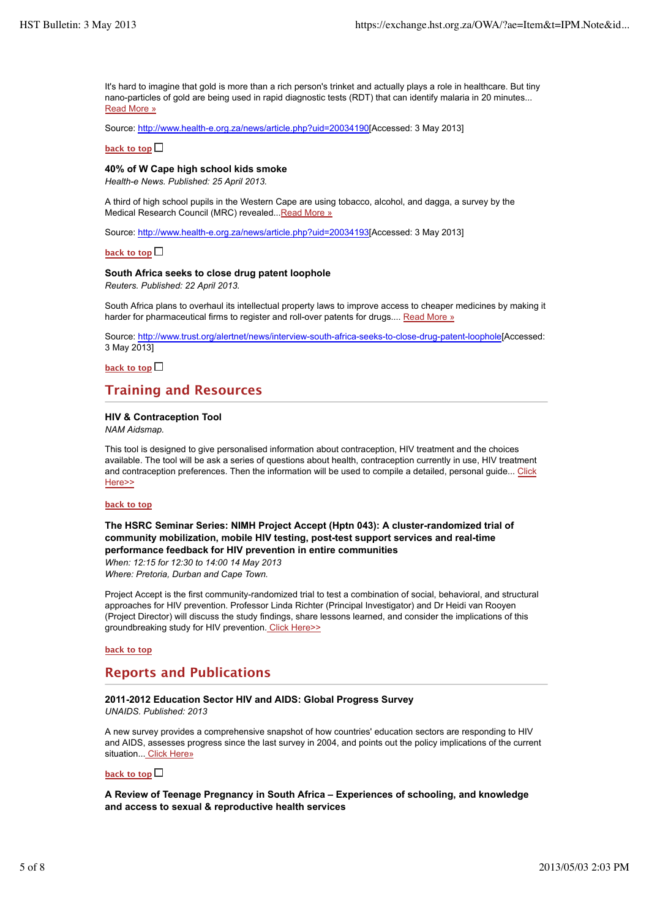It's hard to imagine that gold is more than a rich person's trinket and actually plays a role in healthcare. But tiny nano-particles of gold are being used in rapid diagnostic tests (RDT) that can identify malaria in 20 minutes... Read More »

Source: http://www.health-e.org.za/news/article.php?uid=20034190[Accessed: 3 May 2013]

## **back to top**

## **40% of W Cape high school kids smoke**

*Health-e News. Published: 25 April 2013.*

A third of high school pupils in the Western Cape are using tobacco, alcohol, and dagga, a survey by the Medical Research Council (MRC) revealed... Read More »

Source: http://www.health-e.org.za/news/article.php?uid=20034193[Accessed: 3 May 2013]

**back to top**

### **South Africa seeks to close drug patent loophole**

*Reuters. Published: 22 April 2013.*

South Africa plans to overhaul its intellectual property laws to improve access to cheaper medicines by making it harder for pharmaceutical firms to register and roll-over patents for drugs.... Read More »

Source: http://www.trust.org/alertnet/news/interview-south-africa-seeks-to-close-drug-patent-loophole[Accessed: 3 May 2013]

**back to top**

# **Training and Resources**

## **HIV & Contraception Tool**

*NAM Aidsmap.*

This tool is designed to give personalised information about contraception, HIV treatment and the choices available. The tool will be ask a series of questions about health, contraception currently in use, HIV treatment and contraception preferences. Then the information will be used to compile a detailed, personal guide... Click Here>>

### **back to top**

## **The HSRC Seminar Series: NIMH Project Accept (Hptn 043): A cluster-randomized trial of community mobilization, mobile HIV testing, post-test support services and real-time performance feedback for HIV prevention in entire communities**

*When: 12:15 for 12:30 to 14:00 14 May 2013 Where: Pretoria, Durban and Cape Town.*

Project Accept is the first community-randomized trial to test a combination of social, behavioral, and structural approaches for HIV prevention. Professor Linda Richter (Principal Investigator) and Dr Heidi van Rooyen (Project Director) will discuss the study findings, share lessons learned, and consider the implications of this groundbreaking study for HIV prevention. Click Here>>

## **back to top**

## **Reports and Publications**

# **2011-2012 Education Sector HIV and AIDS: Global Progress Survey**

*UNAIDS. Published: 2013*

A new survey provides a comprehensive snapshot of how countries' education sectors are responding to HIV and AIDS, assesses progress since the last survey in 2004, and points out the policy implications of the current situation... Click Here»

### **back to top**

**A Review of Teenage Pregnancy in South Africa – Experiences of schooling, and knowledge and access to sexual & reproductive health services**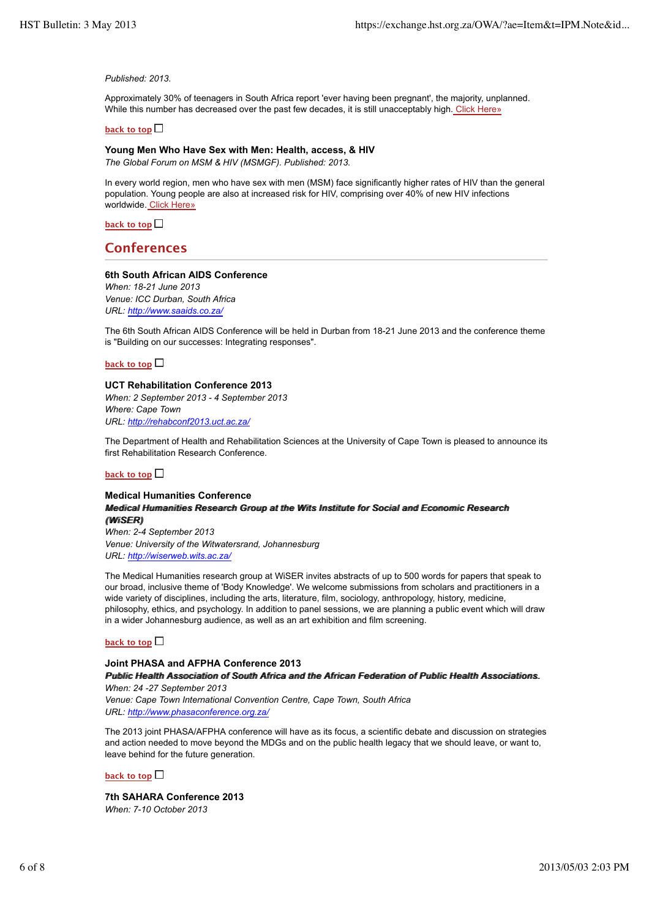#### *Published: 2013.*

Approximately 30% of teenagers in South Africa report 'ever having been pregnant', the majority, unplanned. While this number has decreased over the past few decades, it is still unacceptably high. Click Here»

## **back to top**

### **Young Men Who Have Sex with Men: Health, access, & HIV**

*The Global Forum on MSM & HIV (MSMGF). Published: 2013.*

In every world region, men who have sex with men (MSM) face significantly higher rates of HIV than the general population. Young people are also at increased risk for HIV, comprising over 40% of new HIV infections worldwide. Click Here»

**back to top**

## **Conferences**

## **6th South African AIDS Conference**

*When: 18-21 June 2013 Venue: ICC Durban, South Africa URL: http://www.saaids.co.za/*

The 6th South African AIDS Conference will be held in Durban from 18-21 June 2013 and the conference theme is "Building on our successes: Integrating responses".

**back to top**

## **UCT Rehabilitation Conference 2013**

*When: 2 September 2013 - 4 September 2013 Where: Cape Town URL: http://rehabconf2013.uct.ac.za/*

The Department of Health and Rehabilitation Sciences at the University of Cape Town is pleased to announce its first Rehabilitation Research Conference.

## **back to top**

## **Medical Humanities Conference** *Medical Humanitiies Research Group at the Wits Institute for Social and Economic Research ((WWiiSSEERR)) When: 2-4 September 2013*

*Venue: University of the Witwatersrand, Johannesburg URL: http://wiserweb.wits.ac.za/*

The Medical Humanities research group at WiSER invites abstracts of up to 500 words for papers that speak to our broad, inclusive theme of 'Body Knowledge'. We welcome submissions from scholars and practitioners in a wide variety of disciplines, including the arts, literature, film, sociology, anthropology, history, medicine, philosophy, ethics, and psychology. In addition to panel sessions, we are planning a public event which will draw in a wider Johannesburg audience, as well as an art exhibition and film screening.

## **back to top**

## **Joint PHASA and AFPHA Conference 2013** Publiic Heallth Associatiion of South Africa and the Afriican Federatiion of Publiic Health Associatiions.. *When: 24 -27 September 2013*

*Venue: Cape Town International Convention Centre, Cape Town, South Africa URL: http://www.phasaconference.org.za/*

The 2013 joint PHASA/AFPHA conference will have as its focus, a scientific debate and discussion on strategies and action needed to move beyond the MDGs and on the public health legacy that we should leave, or want to, leave behind for the future generation.

## **back to top**

**7th SAHARA Conference 2013** *When: 7-10 October 2013*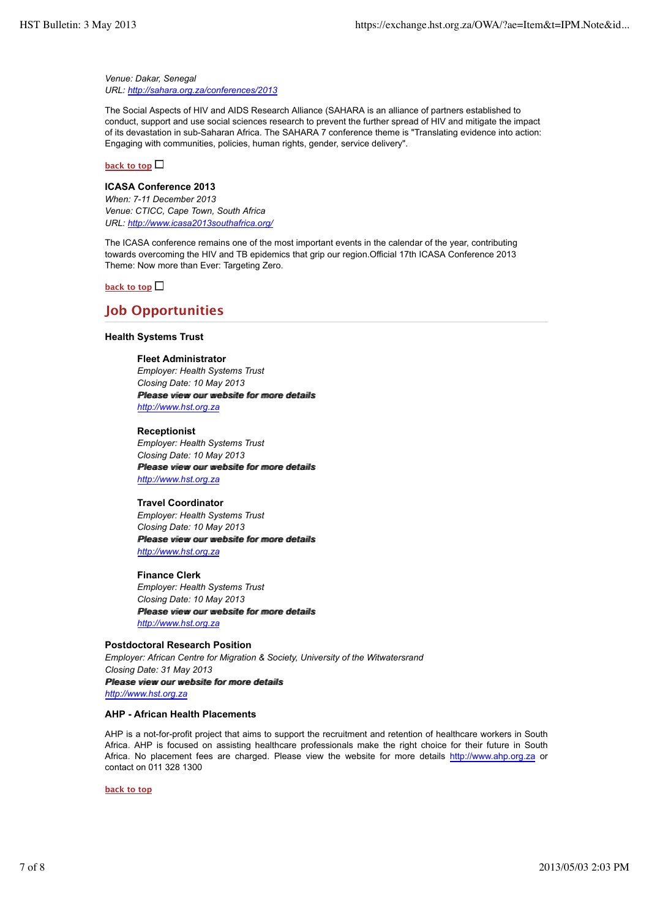*Venue: Dakar, Senegal URL: http://sahara.org.za/conferences/2013*

The Social Aspects of HIV and AIDS Research Alliance (SAHARA is an alliance of partners established to conduct, support and use social sciences research to prevent the further spread of HIV and mitigate the impact of its devastation in sub-Saharan Africa. The SAHARA 7 conference theme is "Translating evidence into action: Engaging with communities, policies, human rights, gender, service delivery".

## **back to top**

## **ICASA Conference 2013**

*When: 7-11 December 2013 Venue: CTICC, Cape Town, South Africa URL: http://www.icasa2013southafrica.org/*

The ICASA conference remains one of the most important events in the calendar of the year, contributing towards overcoming the HIV and TB epidemics that grip our region.Official 17th ICASA Conference 2013 Theme: Now more than Ever: Targeting Zero.

## **back to top**

## **Job Opportunities**

## **Health Systems Trust**

### **Fleet Administrator**

*Employer: Health Systems Trust Closing Date: 10 May 2013 Please viiew our website for more detaiils http://www.hst.org.za*

### **Receptionist**

*Employer: Health Systems Trust Closing Date: 10 May 2013 Please viiew our website for more detaiils http://www.hst.org.za*

## **Travel Coordinator**

*Employer: Health Systems Trust Closing Date: 10 May 2013 Please viiew our website for more detaiils http://www.hst.org.za*

#### **Finance Clerk**

*Employer: Health Systems Trust Closing Date: 10 May 2013 Please viiew our website for more detaiils http://www.hst.org.za*

### **Postdoctoral Research Position**

*Employer: African Centre for Migration & Society, University of the Witwatersrand Closing Date: 31 May 2013 Please viiew our website for more detaiils http://www.hst.org.za*

### **AHP - African Health Placements**

AHP is a not-for-profit project that aims to support the recruitment and retention of healthcare workers in South Africa. AHP is focused on assisting healthcare professionals make the right choice for their future in South Africa. No placement fees are charged. Please view the website for more details http://www.ahp.org.za or contact on 011 328 1300

**back to top**